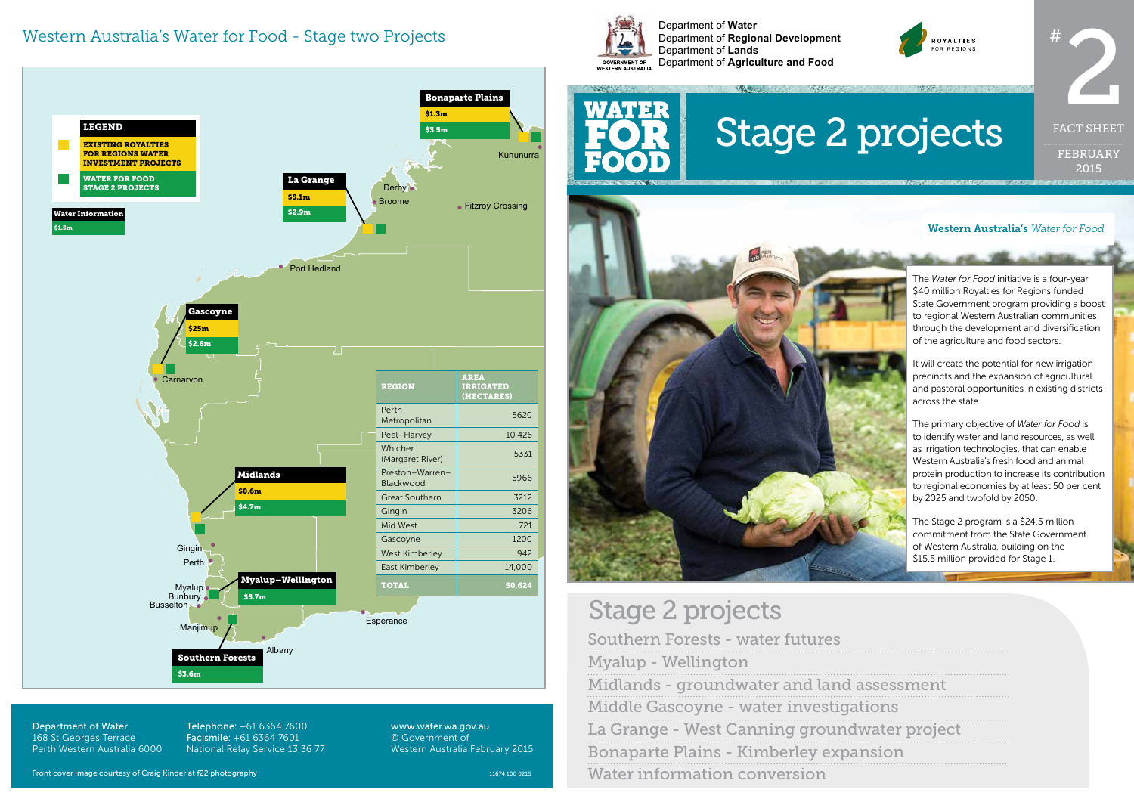Department of **Water** Department of **Regional Development** Department of **Lands** Department of **Agriculture and Food**



FEBRUARY 2015 FACT SHEET

Southern Forests - water futures Myalup - Wellington Midlands - groundwater and land Middle Gascoyne - water investigations La Grange - West Canning ground Bonaparte Plains - Kimberley expa Water information conversion



#### Western Australia's *Water for Food*

# Stage 2 projects

Department of Water 168 St Georges Terrace Perth Western Australia 6000 Telephone: +61 6364 7600 Facismile: +61 6364 7601 National Relay Service 13 36 77



www.water.wa.gov.au © Government of Western Australia February 2015



#### Western Australia's Water for Food - Stage two Projects

The Stage 2 program is a \$24.5 million commitment from the State Government of Western Australia, building on the \$15.5 million provided for Stage 1.

| assessment    |
|---------------|
| itions        |
| water project |
| ınsion        |

The *Water for Food* initiative is a four-year \$40 million Royalties for Regions funded State Government program providing a boost to regional Western Australian communities through the development and diversification of the agriculture and food sectors.

It will create the potential for new irrigation precincts and the expansion of agricultural and pastoral opportunities in existing districts

The primary objective of *Water for Food* is to identify water and land resources, as well as irrigation technologies, that can enable Western Australia's fresh food and animal protein production to increase its contribution to regional economies by at least 50 per cent by 2025 and twofold by 2050.